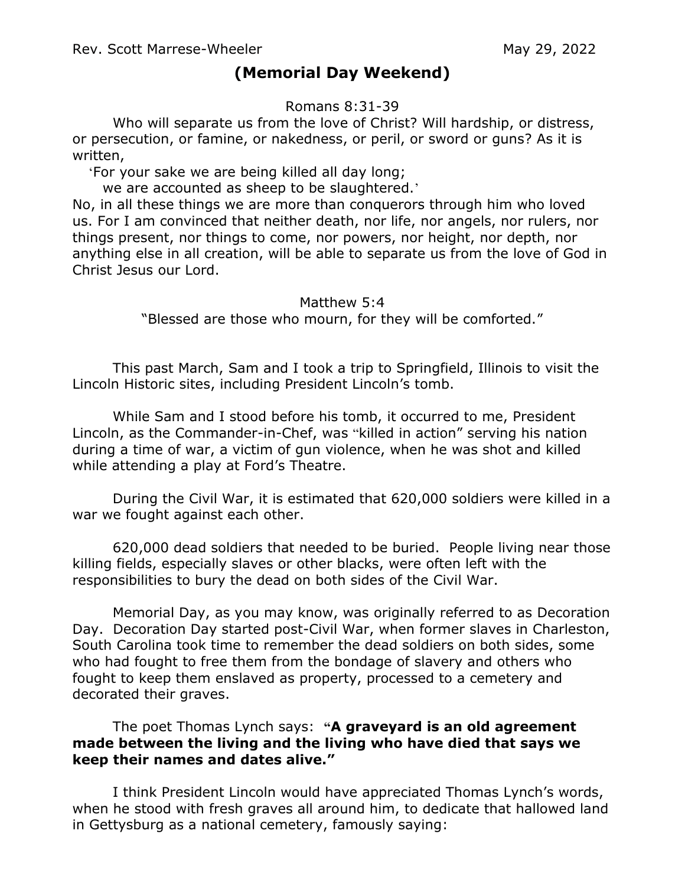## **(Memorial Day Weekend)**

Romans 8:31-39

Who will separate us from the love of Christ? Will hardship, or distress, or persecution, or famine, or nakedness, or peril, or sword or guns? As it is written,

'For your sake we are being killed all day long;

we are accounted as sheep to be slaughtered. '

No, in all these things we are more than conquerors through him who loved us. For I am convinced that neither death, nor life, nor angels, nor rulers, nor things present, nor things to come, nor powers, nor height, nor depth, nor anything else in all creation, will be able to separate us from the love of God in Christ Jesus our Lord.

## Matthew 5:4

"Blessed are those who mourn, for they will be comforted."

This past March, Sam and I took a trip to Springfield, Illinois to visit the Lincoln Historic sites, including President Lincoln's tomb.

While Sam and I stood before his tomb, it occurred to me, President Lincoln, as the Commander-in-Chef, was "killed in action" serving his nation during a time of war, a victim of gun violence, when he was shot and killed while attending a play at Ford's Theatre.

During the Civil War, it is estimated that 620,000 soldiers were killed in a war we fought against each other.

620,000 dead soldiers that needed to be buried. People living near those killing fields, especially slaves or other blacks, were often left with the responsibilities to bury the dead on both sides of the Civil War.

Memorial Day, as you may know, was originally referred to as Decoration Day. Decoration Day started post-Civil War, when former slaves in Charleston, South Carolina took time to remember the dead soldiers on both sides, some who had fought to free them from the bondage of slavery and others who fought to keep them enslaved as property, processed to a cemetery and decorated their graves.

The poet Thomas Lynch says: **"A graveyard is an old agreement made between the living and the living who have died that says we keep their names and dates alive."**

I think President Lincoln would have appreciated Thomas Lynch's words, when he stood with fresh graves all around him, to dedicate that hallowed land in Gettysburg as a national cemetery, famously saying: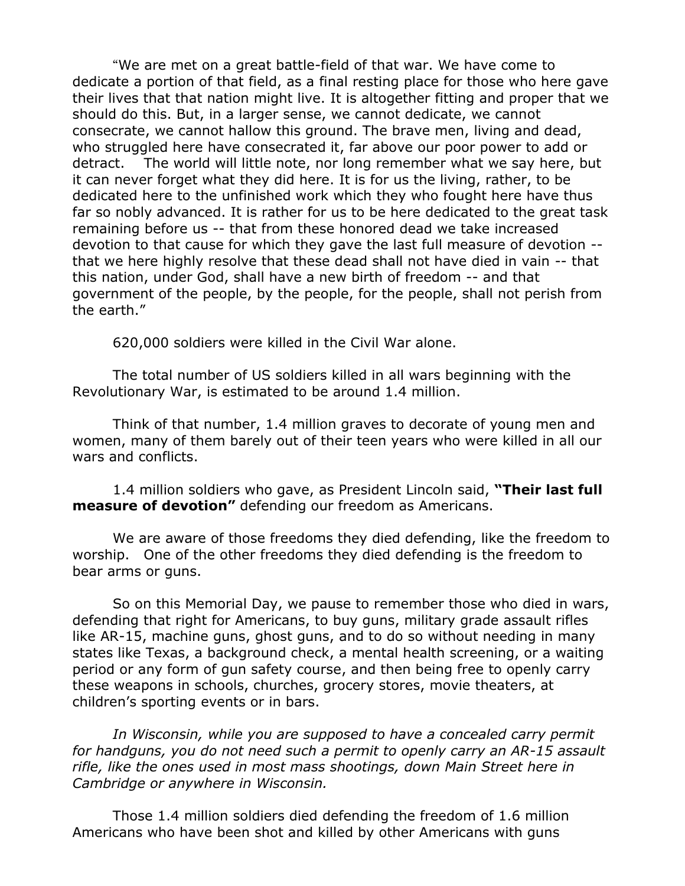"We are met on a great battle-field of that war. We have come to dedicate a portion of that field, as a final resting place for those who here gave their lives that that nation might live. It is altogether fitting and proper that we should do this. But, in a larger sense, we cannot dedicate, we cannot consecrate, we cannot hallow this ground. The brave men, living and dead, who struggled here have consecrated it, far above our poor power to add or detract. The world will little note, nor long remember what we say here, but it can never forget what they did here. It is for us the living, rather, to be dedicated here to the unfinished work which they who fought here have thus far so nobly advanced. It is rather for us to be here dedicated to the great task remaining before us -- that from these honored dead we take increased devotion to that cause for which they gave the last full measure of devotion - that we here highly resolve that these dead shall not have died in vain -- that this nation, under God, shall have a new birth of freedom -- and that government of the people, by the people, for the people, shall not perish from the earth."

620,000 soldiers were killed in the Civil War alone.

The total number of US soldiers killed in all wars beginning with the Revolutionary War, is estimated to be around 1.4 million.

Think of that number, 1.4 million graves to decorate of young men and women, many of them barely out of their teen years who were killed in all our wars and conflicts.

1.4 million soldiers who gave, as President Lincoln said, **"Their last full measure of devotion"** defending our freedom as Americans.

We are aware of those freedoms they died defending, like the freedom to worship. One of the other freedoms they died defending is the freedom to bear arms or guns.

So on this Memorial Day, we pause to remember those who died in wars, defending that right for Americans, to buy guns, military grade assault rifles like AR-15, machine guns, ghost guns, and to do so without needing in many states like Texas, a background check, a mental health screening, or a waiting period or any form of gun safety course, and then being free to openly carry these weapons in schools, churches, grocery stores, movie theaters, at children's sporting events or in bars.

In Wisconsin, while you are supposed to have a concealed carry permit *for handguns, you do not need such a permit to openly carry an AR-15 assault rifle, like the ones used in most mass shootings, down Main Street here in Cambridge or anywhere in Wisconsin.*

Those 1.4 million soldiers died defending the freedom of 1.6 million Americans who have been shot and killed by other Americans with guns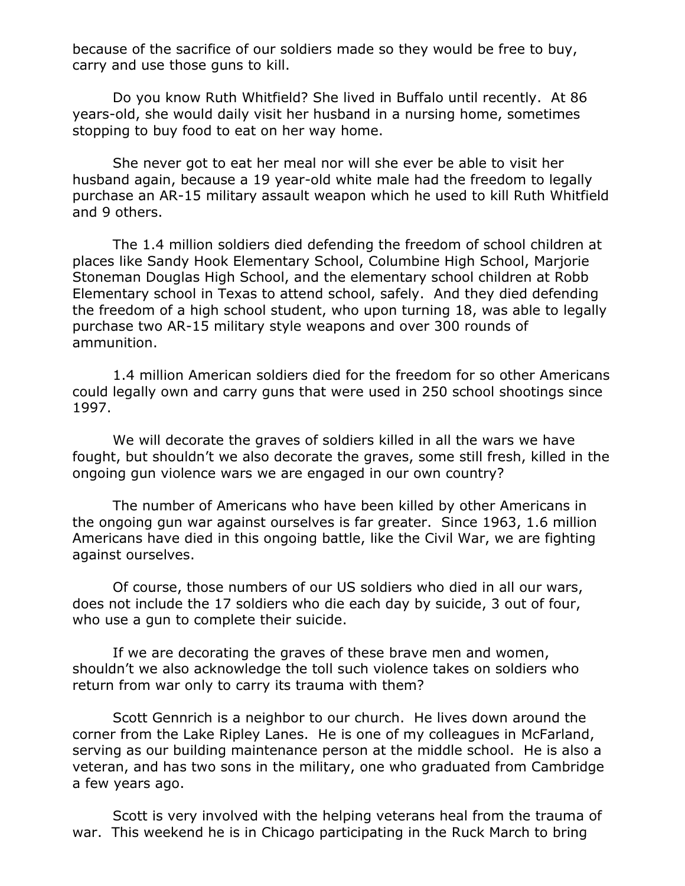because of the sacrifice of our soldiers made so they would be free to buy, carry and use those guns to kill.

Do you know Ruth Whitfield? She lived in Buffalo until recently. At 86 years-old, she would daily visit her husband in a nursing home, sometimes stopping to buy food to eat on her way home.

She never got to eat her meal nor will she ever be able to visit her husband again, because a 19 year-old white male had the freedom to legally purchase an AR-15 military assault weapon which he used to kill Ruth Whitfield and 9 others.

The 1.4 million soldiers died defending the freedom of school children at places like Sandy Hook Elementary School, Columbine High School, Marjorie Stoneman Douglas High School, and the elementary school children at Robb Elementary school in Texas to attend school, safely. And they died defending the freedom of a high school student, who upon turning 18, was able to legally purchase two AR-15 military style weapons and over 300 rounds of ammunition.

1.4 million American soldiers died for the freedom for so other Americans could legally own and carry guns that were used in 250 school shootings since 1997.

We will decorate the graves of soldiers killed in all the wars we have fought, but shouldn't we also decorate the graves, some still fresh, killed in the ongoing gun violence wars we are engaged in our own country?

The number of Americans who have been killed by other Americans in the ongoing gun war against ourselves is far greater. Since 1963, 1.6 million Americans have died in this ongoing battle, like the Civil War, we are fighting against ourselves.

Of course, those numbers of our US soldiers who died in all our wars, does not include the 17 soldiers who die each day by suicide, 3 out of four, who use a gun to complete their suicide.

If we are decorating the graves of these brave men and women, shouldn't we also acknowledge the toll such violence takes on soldiers who return from war only to carry its trauma with them?

Scott Gennrich is a neighbor to our church. He lives down around the corner from the Lake Ripley Lanes. He is one of my colleagues in McFarland, serving as our building maintenance person at the middle school. He is also a veteran, and has two sons in the military, one who graduated from Cambridge a few years ago.

Scott is very involved with the helping veterans heal from the trauma of war. This weekend he is in Chicago participating in the Ruck March to bring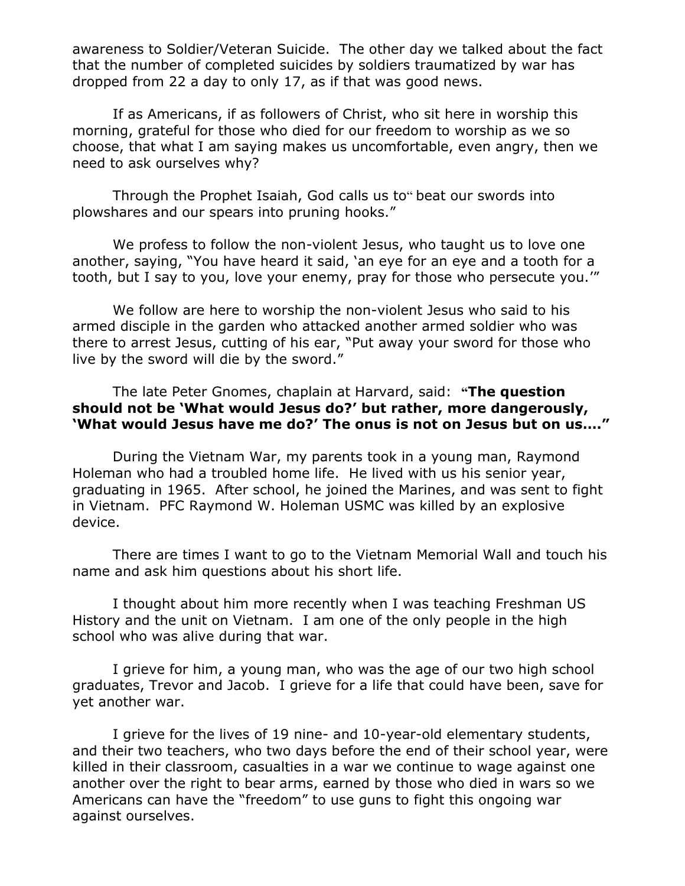awareness to Soldier/Veteran Suicide. The other day we talked about the fact that the number of completed suicides by soldiers traumatized by war has dropped from 22 a day to only 17, as if that was good news.

If as Americans, if as followers of Christ, who sit here in worship this morning, grateful for those who died for our freedom to worship as we so choose, that what I am saying makes us uncomfortable, even angry, then we need to ask ourselves why?

Through the Prophet Isaiah, God calls us to" beat our swords into plowshares and our spears into pruning hooks."

We profess to follow the non-violent Jesus, who taught us to love one another, saying, "You have heard it said, 'an eye for an eye and a tooth for a tooth, but I say to you, love your enemy, pray for those who persecute you.'"

We follow are here to worship the non-violent Jesus who said to his armed disciple in the garden who attacked another armed soldier who was there to arrest Jesus, cutting of his ear, "Put away your sword for those who live by the sword will die by the sword."

## The late Peter Gnomes, chaplain at Harvard, said: **"The question should not be 'What would Jesus do?' but rather, more dangerously, 'What would Jesus have me do?' The onus is not on Jesus but on us…."**

During the Vietnam War, my parents took in a young man, Raymond Holeman who had a troubled home life. He lived with us his senior year, graduating in 1965. After school, he joined the Marines, and was sent to fight in Vietnam. PFC Raymond W. Holeman USMC was killed by an explosive device.

There are times I want to go to the Vietnam Memorial Wall and touch his name and ask him questions about his short life.

I thought about him more recently when I was teaching Freshman US History and the unit on Vietnam. I am one of the only people in the high school who was alive during that war.

I grieve for him, a young man, who was the age of our two high school graduates, Trevor and Jacob. I grieve for a life that could have been, save for yet another war.

I grieve for the lives of 19 nine- and 10-year-old elementary students, and their two teachers, who two days before the end of their school year, were killed in their classroom, casualties in a war we continue to wage against one another over the right to bear arms, earned by those who died in wars so we Americans can have the "freedom" to use guns to fight this ongoing war against ourselves.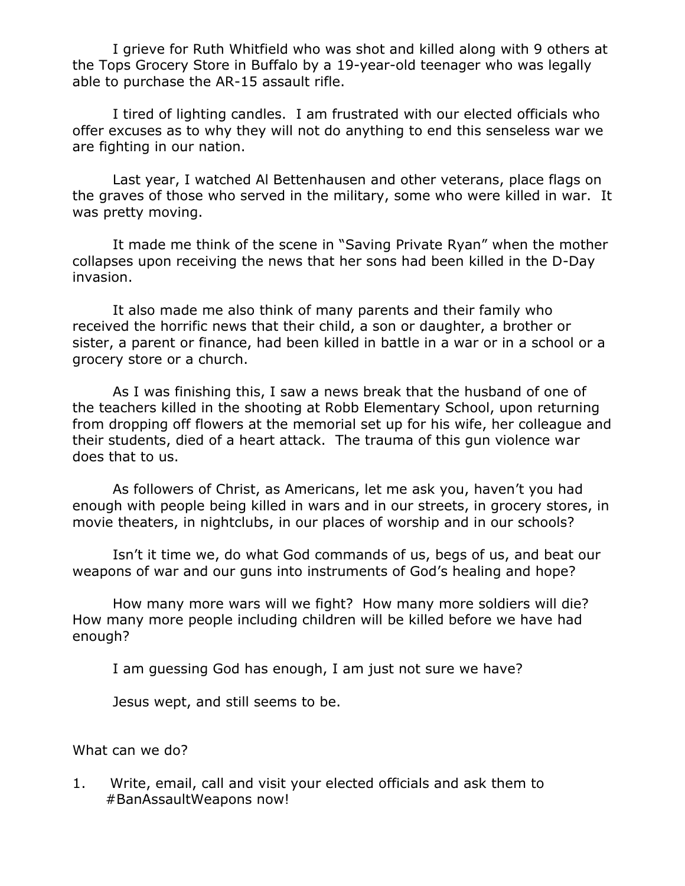I grieve for Ruth Whitfield who was shot and killed along with 9 others at the Tops Grocery Store in Buffalo by a 19-year-old teenager who was legally able to purchase the AR-15 assault rifle.

I tired of lighting candles. I am frustrated with our elected officials who offer excuses as to why they will not do anything to end this senseless war we are fighting in our nation.

Last year, I watched Al Bettenhausen and other veterans, place flags on the graves of those who served in the military, some who were killed in war. It was pretty moving.

It made me think of the scene in "Saving Private Ryan" when the mother collapses upon receiving the news that her sons had been killed in the D-Day invasion.

It also made me also think of many parents and their family who received the horrific news that their child, a son or daughter, a brother or sister, a parent or finance, had been killed in battle in a war or in a school or a grocery store or a church.

As I was finishing this, I saw a news break that the husband of one of the teachers killed in the shooting at Robb Elementary School, upon returning from dropping off flowers at the memorial set up for his wife, her colleague and their students, died of a heart attack. The trauma of this gun violence war does that to us.

As followers of Christ, as Americans, let me ask you, haven't you had enough with people being killed in wars and in our streets, in grocery stores, in movie theaters, in nightclubs, in our places of worship and in our schools?

Isn't it time we, do what God commands of us, begs of us, and beat our weapons of war and our guns into instruments of God's healing and hope?

How many more wars will we fight? How many more soldiers will die? How many more people including children will be killed before we have had enough?

I am guessing God has enough, I am just not sure we have?

Jesus wept, and still seems to be.

What can we do?

1. Write, email, call and visit your elected officials and ask them to #BanAssaultWeapons now!